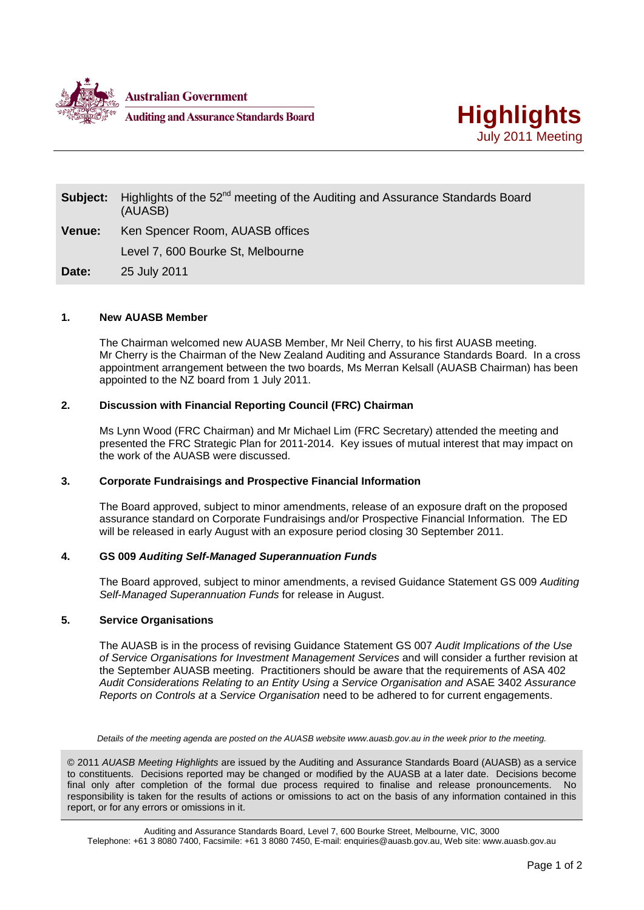



| Subject:      | Highlights of the 52 <sup>nd</sup> meeting of the Auditing and Assurance Standards Board<br>(AUASB) |
|---------------|-----------------------------------------------------------------------------------------------------|
| <b>Venue:</b> | Ken Spencer Room, AUASB offices                                                                     |
|               | Level 7, 600 Bourke St, Melbourne                                                                   |
| Date:         | 25 July 2011                                                                                        |

# **1. New AUASB Member**

The Chairman welcomed new AUASB Member, Mr Neil Cherry, to his first AUASB meeting. Mr Cherry is the Chairman of the New Zealand Auditing and Assurance Standards Board. In a cross appointment arrangement between the two boards, Ms Merran Kelsall (AUASB Chairman) has been appointed to the NZ board from 1 July 2011.

# **2. Discussion with Financial Reporting Council (FRC) Chairman**

Ms Lynn Wood (FRC Chairman) and Mr Michael Lim (FRC Secretary) attended the meeting and presented the FRC Strategic Plan for 2011-2014. Key issues of mutual interest that may impact on the work of the AUASB were discussed.

## **3. Corporate Fundraisings and Prospective Financial Information**

The Board approved, subject to minor amendments, release of an exposure draft on the proposed assurance standard on Corporate Fundraisings and/or Prospective Financial Information. The ED will be released in early August with an exposure period closing 30 September 2011.

## **4. GS 009** *Auditing Self-Managed Superannuation Funds*

The Board approved, subject to minor amendments, a revised Guidance Statement GS 009 *Auditing Self*-*Managed Superannuation Funds* for release in August.

## **5. Service Organisations**

The AUASB is in the process of revising Guidance Statement GS 007 *Audit Implications of the Use of Service Organisations for Investment Management Services* and will consider a further revision at the September AUASB meeting. Practitioners should be aware that the requirements of ASA 402 *Audit Considerations Relating to an Entity Using a Service Organisation and* ASAE 3402 *Assurance Reports on Controls at* a *Service Organisation* need to be adhered to for current engagements.

*Details of the meeting agenda are posted on the AUASB website www.auasb.gov.au in the week prior to the meeting.*

© 2011 *AUASB Meeting Highlights* are issued by the Auditing and Assurance Standards Board (AUASB) as a service to constituents. Decisions reported may be changed or modified by the AUASB at a later date. Decisions become final only after completion of the formal due process required to finalise and release pronouncements. No responsibility is taken for the results of actions or omissions to act on the basis of any information contained in this report, or for any errors or omissions in it.